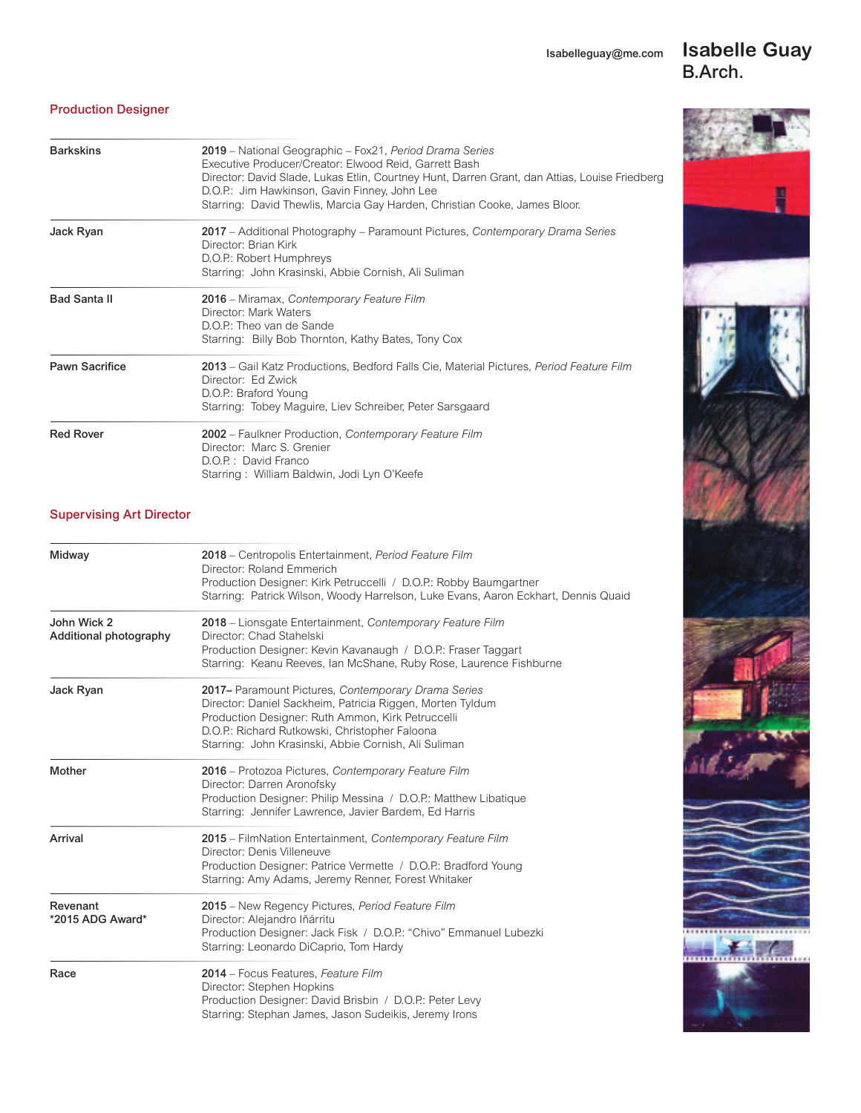Isabelleguay@me.com

## **Isabelle Guay** B.Arch.



### Production Designer

| <b>Barkskins</b>      | 2019 – National Geographic – Fox21, Period Drama Series<br>Executive Producer/Creator: Elwood Reid, Garrett Bash<br>Director: David Slade, Lukas Etlin, Courtney Hunt, Darren Grant, dan Attias, Louise Friedberg<br>D.O.P.: Jim Hawkinson, Gavin Finney, John Lee<br>Starring: David Thewlis, Marcia Gay Harden, Christian Cooke, James Bloor. |  |
|-----------------------|-------------------------------------------------------------------------------------------------------------------------------------------------------------------------------------------------------------------------------------------------------------------------------------------------------------------------------------------------|--|
| Jack Ryan             | 2017 - Additional Photography - Paramount Pictures, Contemporary Drama Series<br>Director: Brian Kirk<br>D.O.P.: Robert Humphreys<br>Starring: John Krasinski, Abbie Cornish, Ali Suliman                                                                                                                                                       |  |
| <b>Bad Santa II</b>   | 2016 – Miramax, Contemporary Feature Film<br>Director: Mark Waters<br>D.O.P.: Theo van de Sande<br>Starring: Billy Bob Thornton, Kathy Bates, Tony Cox                                                                                                                                                                                          |  |
| <b>Pawn Sacrifice</b> | 2013 – Gail Katz Productions, Bedford Falls Cie, Material Pictures, Period Feature Film<br>Director: Ed Zwick<br>D.O.P.: Braford Young<br>Starring: Tobey Maguire, Liev Schreiber, Peter Sarsgaard                                                                                                                                              |  |
| <b>Red Rover</b>      | 2002 - Faulkner Production, Contemporary Feature Film<br>Director: Marc S. Grenier<br>D.O.P.: David Franco<br>Starring: William Baldwin, Jodi Lyn O'Keefe                                                                                                                                                                                       |  |

### Supervising Art Director

| Midway                                | 2018 – Centropolis Entertainment, Period Feature Film<br>Director: Roland Emmerich<br>Production Designer: Kirk Petruccelli / D.O.P.: Robby Baumgartner<br>Starring: Patrick Wilson, Woody Harrelson, Luke Evans, Aaron Eckhart, Dennis Quaid                                   |
|---------------------------------------|---------------------------------------------------------------------------------------------------------------------------------------------------------------------------------------------------------------------------------------------------------------------------------|
| John Wick 2<br>Additional photography | 2018 – Lionsgate Entertainment, Contemporary Feature Film<br>Director: Chad Stahelski<br>Production Designer: Kevin Kavanaugh / D.O.P.: Fraser Taggart<br>Starring: Keanu Reeves, Ian McShane, Ruby Rose, Laurence Fishburne                                                    |
| Jack Ryan                             | 2017- Paramount Pictures, Contemporary Drama Series<br>Director: Daniel Sackheim, Patricia Riggen, Morten Tyldum<br>Production Designer: Ruth Ammon, Kirk Petruccelli<br>D.O.P.: Richard Rutkowski, Christopher Faloona<br>Starring: John Krasinski, Abbie Cornish, Ali Suliman |
| Mother                                | 2016 – Protozoa Pictures, Contemporary Feature Film<br>Director: Darren Aronofsky<br>Production Designer: Philip Messina / D.O.P.: Matthew Libatique<br>Starring: Jennifer Lawrence, Javier Bardem, Ed Harris                                                                   |
| Arrival                               | 2015 – FilmNation Entertainment, Contemporary Feature Film<br>Director: Denis Villeneuve<br>Production Designer: Patrice Vermette / D.O.P.: Bradford Young<br>Starring: Amy Adams, Jeremy Renner, Forest Whitaker                                                               |
| Revenant<br>*2015 ADG Award*          | 2015 – New Regency Pictures, Period Feature Film<br>Director: Alejandro Iñárritu<br>Production Designer: Jack Fisk / D.O.P.: "Chivo" Emmanuel Lubezki<br>Starring: Leonardo DiCaprio, Tom Hardy                                                                                 |
| Race                                  | 2014 - Focus Features, Feature Film<br>Director: Stephen Hopkins<br>Production Designer: David Brisbin / D.O.P.: Peter Levy<br>Starring: Stephan James, Jason Sudeikis, Jeremy Irons                                                                                            |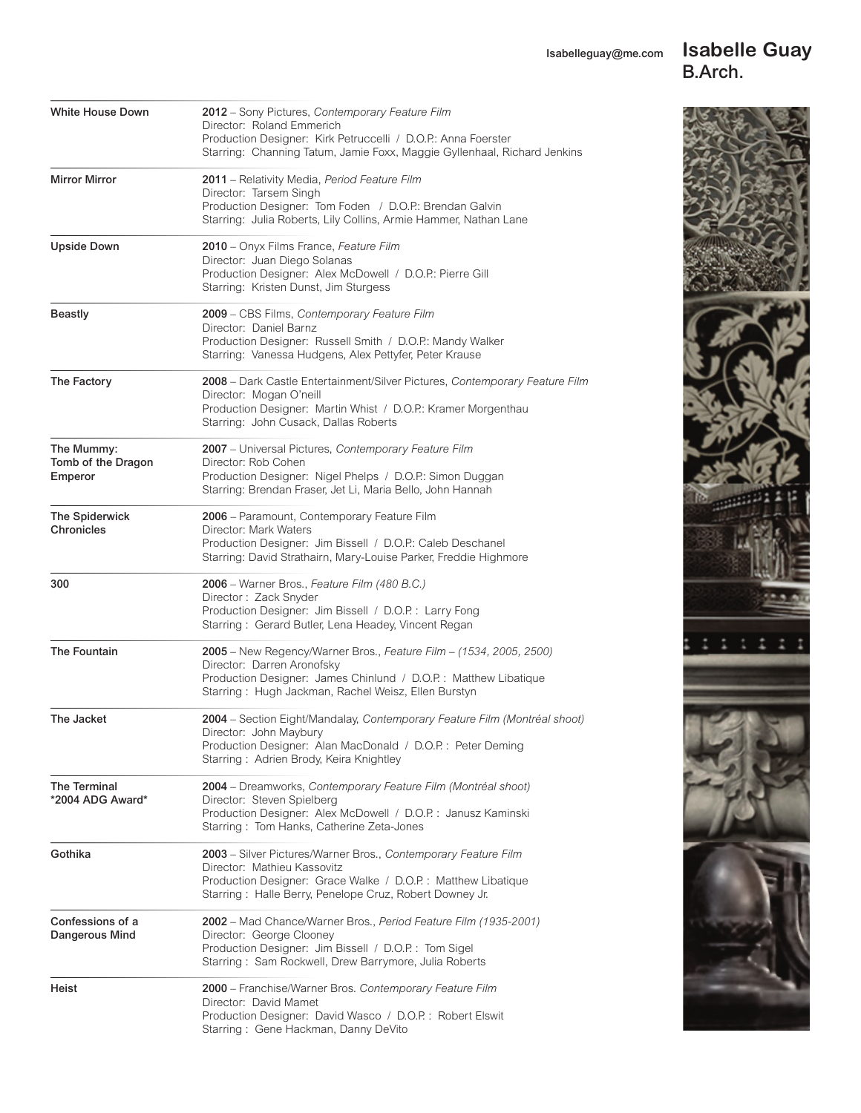### Isabelleguay@me.com **Isabelle Guay** B.Arch.



| <b>White House Down</b>                     | 2012 - Sony Pictures, Contemporary Feature Film<br>Director: Roland Emmerich<br>Production Designer: Kirk Petruccelli / D.O.P.: Anna Foerster<br>Starring: Channing Tatum, Jamie Foxx, Maggie Gyllenhaal, Richard Jenkins  |
|---------------------------------------------|----------------------------------------------------------------------------------------------------------------------------------------------------------------------------------------------------------------------------|
| <b>Mirror Mirror</b>                        | 2011 - Relativity Media, Period Feature Film<br>Director: Tarsem Singh<br>Production Designer: Tom Foden / D.O.P.: Brendan Galvin<br>Starring: Julia Roberts, Lily Collins, Armie Hammer, Nathan Lane                      |
| <b>Upside Down</b>                          | 2010 - Onyx Films France, Feature Film<br>Director: Juan Diego Solanas<br>Production Designer: Alex McDowell / D.O.P.: Pierre Gill<br>Starring: Kristen Dunst, Jim Sturgess                                                |
| <b>Beastly</b>                              | 2009 - CBS Films, Contemporary Feature Film<br>Director: Daniel Barnz<br>Production Designer: Russell Smith / D.O.P.: Mandy Walker<br>Starring: Vanessa Hudgens, Alex Pettyfer, Peter Krause                               |
| The Factory                                 | 2008 – Dark Castle Entertainment/Silver Pictures, Contemporary Feature Film<br>Director: Mogan O'neill<br>Production Designer: Martin Whist / D.O.P.: Kramer Morgenthau<br>Starring: John Cusack, Dallas Roberts           |
| The Mummy:<br>Tomb of the Dragon<br>Emperor | 2007 - Universal Pictures, Contemporary Feature Film<br>Director: Rob Cohen<br>Production Designer: Nigel Phelps / D.O.P.: Simon Duggan<br>Starring: Brendan Fraser, Jet Li, Maria Bello, John Hannah                      |
| <b>The Spiderwick</b><br>Chronicles         | 2006 - Paramount, Contemporary Feature Film<br>Director: Mark Waters<br>Production Designer: Jim Bissell / D.O.P.: Caleb Deschanel<br>Starring: David Strathairn, Mary-Louise Parker, Freddie Highmore                     |
| 300                                         | 2006 – Warner Bros., Feature Film (480 B.C.)<br>Director: Zack Snyder<br>Production Designer: Jim Bissell / D.O.P.: Larry Fong<br>Starring: Gerard Butler, Lena Headey, Vincent Regan                                      |
| The Fountain                                | 2005 - New Regency/Warner Bros., Feature Film - (1534, 2005, 2500)<br>Director: Darren Aronofsky<br>Production Designer: James Chinlund / D.O.P.: Matthew Libatique<br>Starring: Hugh Jackman, Rachel Weisz, Ellen Burstyn |
| The Jacket                                  | 2004 - Section Eight/Mandalay, Contemporary Feature Film (Montréal shoot)<br>Director: John Maybury<br>Production Designer: Alan MacDonald / D.O.P.: Peter Deming<br>Starring: Adrien Brody, Keira Knightley               |
| The Terminal<br>*2004 ADG Award*            | 2004 – Dreamworks, Contemporary Feature Film (Montréal shoot)<br>Director: Steven Spielberg<br>Production Designer: Alex McDowell / D.O.P.: Janusz Kaminski<br>Starring: Tom Hanks, Catherine Zeta-Jones                   |
| Gothika                                     | 2003 - Silver Pictures/Warner Bros., Contemporary Feature Film<br>Director: Mathieu Kassovitz<br>Production Designer: Grace Walke / D.O.P.: Matthew Libatique<br>Starring: Halle Berry, Penelope Cruz, Robert Downey Jr.   |
| Confessions of a<br>Dangerous Mind          | 2002 – Mad Chance/Warner Bros., Period Feature Film (1935-2001)<br>Director: George Clooney<br>Production Designer: Jim Bissell / D.O.P.: Tom Sigel<br>Starring: Sam Rockwell, Drew Barrymore, Julia Roberts               |
| Heist                                       | 2000 - Franchise/Warner Bros. Contemporary Feature Film<br>Director: David Mamet<br>Production Designer: David Wasco / D.O.P.: Robert Elswit<br>Starring: Gene Hackman, Danny DeVito                                       |